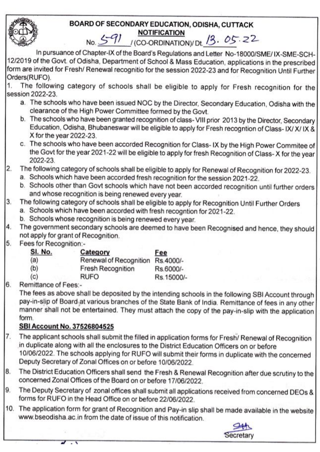#### BOARD OF SECONDARY EDUCATION, ODISHA, CUTTACK **NOTIFICATION**

# No. 5-91 (CO-ORDINATION) Dt. 13. 05.22

In pursuance of Chapter-IX of the Board's Regulations and Letter No-18000/SME/IX-SME-SCH-12/2019 of the Govt. of Odisha, Department of School & Mass Education, applications in the prescribed form are invited for Fresh/ Renewal recognitio for the session 2022-23 and for Recognition Until Further Orders(RUFO).

The following category of schools shall be eligible to apply for Fresh recognition for the  $\mathbf{1}$ session 2022-23.

- a. The schools who have been issued NOC by the Director, Secondary Education, Odisha with the clearance of the High Power Committee formed by the Govt.
- b. The schools who have been granted recognition of class-VIII prior 2013 by the Director, Secondary Education, Odisha, Bhubaneswar will be eligible to apply for Fresh recogntion of Class-IX/X/IX & X for the year 2022-23.
- c. The schools who have been accorded Recognition for Class-IX by the High Power Commitee of the Govt for the year 2021-22 will be eligible to apply for fresh Recognition of Class-X for the year 2022-23.
- The following category of schools shall be eligible to apply for Renewal of Recognition for 2022-23.  $\overline{2}$ 
	- a. Schools which have been accorded fresh recognition for the session 2021-22.
	- b. Schools other than Govt schools which have not been accorded recognition until further orders and whose recognition is being renewed every year.
- The following category of schools shall be eligible to apply for Recognition Until Further Orders 3.
	- a. Schools which have been accorded with fresh recogntion for 2021-22.
	- b. Schools whose recognition is being renewed every year.
- The government secondary schools are deemed to have been Recognised and hence, they should 4. not apply for grant of Recognition.
- 5. Fees for Recognition:-

| SI. No. | Category                 | Fee        |
|---------|--------------------------|------------|
| (a)     | Renewal of Recognition   | Rs.4000/-  |
| (b)     | <b>Fresh Recognition</b> | Rs.6000/-  |
| (c)     | <b>RUFO</b>              | Rs.15000/- |

6. Remittance of Fees:-

The fees as above shall be deposited by the intending schools in the following SBI Account through pay-in-slip of Board at various branches of the State Bank of India. Remittance of fees in any other manner shall not be entertained. They must attach the copy of the pay-in-slip with the application form.

#### SBI Account No. 37526804525

- The applicant schools shall submit the filled in application forms for Fresh/ Renewal of Recognition 7. in duplicate along with all the enclosures to the District Education Officers on or before 10/06/2022. The schools applying for RUFO will submit their forms in duplicate with the concerned Deputy Secretary of Zonal Offices on or before 10/06/2022.
- The District Education Officers shall send the Fresh & Renewal Recognition after due scrutiny to the 8. concerned Zonal Offices of the Board on or before 17/06/2022.
- The Deputy Secretary of zonal offices shall submit all applications received from concerned DEOs & 9. forms for RUFO in the Head Office on or before 22/06/2022.
- 10. The application form for grant of Recognition and Pay-in slip shall be made available in the website www.bseodisha.ac.in from the date of issue of this notification.

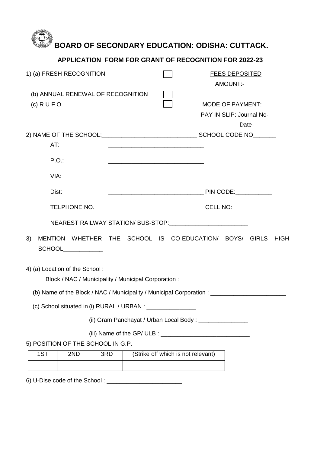### **BOARD OF SECONDARY EDUCATION: ODISHA: CUTTACK.**

#### **APPLICATION FORM FOR GRANT OF RECOGNITION FOR 2022-23**

| 1) (a) FRESH RECOGNITION                                                                                           |                                                                   |                                    | <b>FEES DEPOSITED</b><br>AMOUNT:-                            |             |
|--------------------------------------------------------------------------------------------------------------------|-------------------------------------------------------------------|------------------------------------|--------------------------------------------------------------|-------------|
| (b) ANNUAL RENEWAL OF RECOGNITION<br>$(c)$ R U F O                                                                 |                                                                   |                                    | <b>MODE OF PAYMENT:</b><br>PAY IN SLIP: Journal No-<br>Date- |             |
| AT:                                                                                                                |                                                                   |                                    |                                                              |             |
| P.O.                                                                                                               |                                                                   |                                    |                                                              |             |
| VIA:                                                                                                               | <u> 1989 - Johann John Stone, mars eta biztanleria (h. 1989).</u> |                                    |                                                              |             |
| Dist:                                                                                                              |                                                                   |                                    |                                                              |             |
| TELPHONE NO.                                                                                                       |                                                                   |                                    |                                                              |             |
| NEAREST RAILWAY STATION/ BUS-STOP:_____________________________                                                    |                                                                   |                                    |                                                              |             |
| MENTION WHETHER THE SCHOOL IS CO-EDUCATION/ BOYS/ GIRLS<br>3)<br>SCHOOL___________                                 |                                                                   |                                    |                                                              | <b>HIGH</b> |
| 4) (a) Location of the School:<br>Block / NAC / Municipality / Municipal Corporation : ___________________________ |                                                                   |                                    |                                                              |             |
| (b) Name of the Block / NAC / Municipality / Municipal Corporation : _______________________________               |                                                                   |                                    |                                                              |             |
| (c) School situated in (i) RURAL / URBAN : _________                                                               |                                                                   |                                    |                                                              |             |
|                                                                                                                    |                                                                   |                                    | (ii) Gram Panchayat / Urban Local Body: ______________       |             |
|                                                                                                                    |                                                                   |                                    |                                                              |             |
| 5) POSITION OF THE SCHOOL IN G.P.<br>1ST<br>2ND<br>3RD                                                             |                                                                   | (Strike off which is not relevant) |                                                              |             |
|                                                                                                                    |                                                                   |                                    |                                                              |             |

6) U-Dise code of the School : \_\_\_\_\_\_\_\_\_\_\_\_\_\_\_\_\_\_\_\_\_\_\_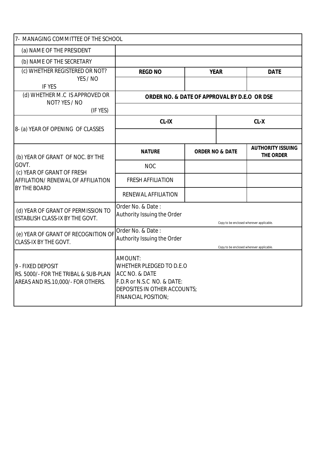| 7- MANAGING COMMITTEE OF THE SCHOOL                                                                                                                                 |                                                                                                                                            |                            |  |                                              |
|---------------------------------------------------------------------------------------------------------------------------------------------------------------------|--------------------------------------------------------------------------------------------------------------------------------------------|----------------------------|--|----------------------------------------------|
| (a) NAME OF THE PRESIDENT                                                                                                                                           |                                                                                                                                            |                            |  |                                              |
| (b) NAME OF THE SECRETARY                                                                                                                                           |                                                                                                                                            |                            |  |                                              |
| (c) WHETHER REGISTERED OR NOT?                                                                                                                                      | <b>REGD NO</b>                                                                                                                             | <b>YEAR</b>                |  | <b>DATE</b>                                  |
| YES / NO<br><b>IF YES</b>                                                                                                                                           |                                                                                                                                            |                            |  |                                              |
| (d) WHETHER M.C IS APPROVED OR<br>NOT? YES / NO                                                                                                                     | ORDER NO. & DATE OF APPROVAL BY D.E.O OR DSE                                                                                               |                            |  |                                              |
| (IF YES)                                                                                                                                                            |                                                                                                                                            |                            |  |                                              |
|                                                                                                                                                                     | <b>CL-IX</b>                                                                                                                               |                            |  | $CL-X$                                       |
| 8- (a) YEAR OF OPENING OF CLASSES                                                                                                                                   |                                                                                                                                            |                            |  |                                              |
| (b) YEAR OF GRANT OF NOC. BY THE                                                                                                                                    | <b>NATURE</b>                                                                                                                              | <b>ORDER NO &amp; DATE</b> |  | <b>AUTHORITY ISSUING</b><br><b>THE ORDER</b> |
| GOVT.<br>(c) YEAR OF GRANT OF FRESH                                                                                                                                 | <b>NOC</b>                                                                                                                                 |                            |  |                                              |
| <b>AFFILATION/ RENEWAL OF AFFILIATION</b>                                                                                                                           | <b>FRESH AFFILIATION</b>                                                                                                                   |                            |  |                                              |
| <b>BY THE BOARD</b>                                                                                                                                                 | <b>RENEWAL AFFILIATION</b>                                                                                                                 |                            |  |                                              |
| (d) YEAR OF GRANT OF PERMISSION TO<br><b>ESTABLISH CLASS-IX BY THE GOVT.</b>                                                                                        | Order No. & Date:<br>Authority Issuing the Order                                                                                           |                            |  | Copy to be enclosed wherever applicable.     |
| Order No. & Date:<br>(e) YEAR OF GRANT OF RECOGNITION OF<br>Authority Issuing the Order<br><b>CLASS-IX BY THE GOVT.</b><br>Copy to be enclosed wherever applicable. |                                                                                                                                            |                            |  |                                              |
| 9 - FIXED DEPOSIT<br><b>IRS. 5000/- FOR THE TRIBAL &amp; SUB-PLAN</b><br>AREAS AND RS.10,000/- FOR OTHERS.                                                          | AMOUNT:<br>WHETHER PLEDGED TO D.E.O<br>ACC NO. & DATE<br>F.D.R or N.S.C NO. & DATE:<br>DEPOSITES IN OTHER ACCOUNTS;<br>FINANCIAL POSITION; |                            |  |                                              |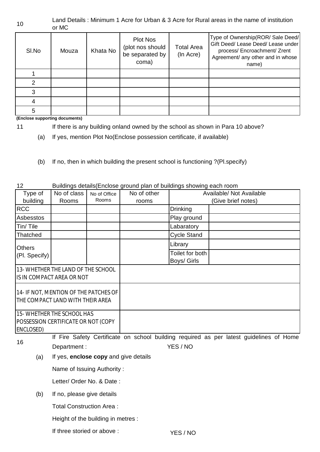#### 10 Land Details : Minimum 1 Acre for Urban & 3 Acre for Rural areas in the name of institution or MC

| SI.No | Mouza | Khata No | <b>Plot Nos</b><br>(plot nos should<br>be separated by<br>coma) | <b>Total Area</b><br>(In Acre) | Type of Ownership(ROR/ Sale Deed/<br>Gift Deed/ Lease Deed/ Lease under<br>process/ Encroachment/ Zrent<br>Agreement/ any other and in whose<br>name) |
|-------|-------|----------|-----------------------------------------------------------------|--------------------------------|-------------------------------------------------------------------------------------------------------------------------------------------------------|
|       |       |          |                                                                 |                                |                                                                                                                                                       |
| っ     |       |          |                                                                 |                                |                                                                                                                                                       |
| 3     |       |          |                                                                 |                                |                                                                                                                                                       |
|       |       |          |                                                                 |                                |                                                                                                                                                       |
| 5     |       |          |                                                                 |                                |                                                                                                                                                       |

**(Enclose supporting documents)**

- 11 If there is any building onland owned by the school as shown in Para 10 above?
	- (a) If yes, mention Plot No(Enclose possession certificate, if available)
	- (b) If no, then in which building the present school is functioning ?(Pl.specify)
- 12 Buildings details(Enclose ground plan of buildings showing each room Type of building No of class Rooms No of Office Rooms No of other rooms RCC Drinking Asbesstos Play ground Tin/ Tile  $\vert$  |  $\vert$  |  $\vert$  |  $\vert$  | Labaratory Thatched Cycle Stand Library Toilet for both Boys/ Girls 16 (a) (b) YES / NO If Fire Safety Certificate on school building required as per latest guidelines of Home Department :  $YES / NO$ If yes, **enclose copy** and give details Name of Issuing Authority : Letter/ Order No. & Date : 13- WHETHER THE LAND OF THE SCHOOL IS IN COMPACT AREA OR NOT 14- IF NOT, MENTION OF THE PATCHES OF THE COMPACT LAND WITH THEIR AREA 15- WHETHER THE SCHOOL HAS POSSESSION CERTIFICATE OR NOT (COPY ENCLOSED) **Others** (Pl. Specify) If no, please give details Total Construction Area : Height of the building in metres : If three storied or above : Available/ Not Available (Give brief notes)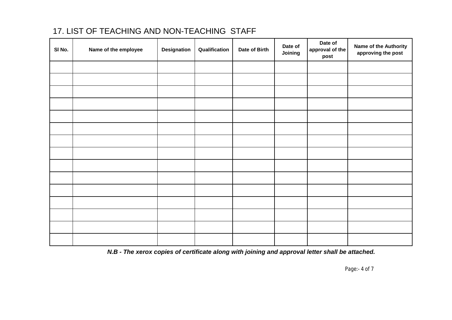#### 17. LIST OF TEACHING AND NON-TEACHING STAFF

| SI No. | Name of the employee | <b>Designation</b> | Qualification | Date of Birth | Date of<br>Joining | Date of<br>approval of the<br>post | Name of the Authority<br>approving the post |
|--------|----------------------|--------------------|---------------|---------------|--------------------|------------------------------------|---------------------------------------------|
|        |                      |                    |               |               |                    |                                    |                                             |
|        |                      |                    |               |               |                    |                                    |                                             |
|        |                      |                    |               |               |                    |                                    |                                             |
|        |                      |                    |               |               |                    |                                    |                                             |
|        |                      |                    |               |               |                    |                                    |                                             |
|        |                      |                    |               |               |                    |                                    |                                             |
|        |                      |                    |               |               |                    |                                    |                                             |
|        |                      |                    |               |               |                    |                                    |                                             |
|        |                      |                    |               |               |                    |                                    |                                             |
|        |                      |                    |               |               |                    |                                    |                                             |
|        |                      |                    |               |               |                    |                                    |                                             |
|        |                      |                    |               |               |                    |                                    |                                             |
|        |                      |                    |               |               |                    |                                    |                                             |
|        |                      |                    |               |               |                    |                                    |                                             |
|        |                      |                    |               |               |                    |                                    |                                             |

*N.B - The xerox copies of certificate along with joining and approval letter shall be attached.* 

*Page:- 4 of 7*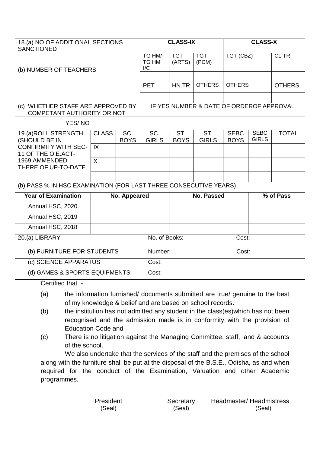| 18.(a) NO.OF ADDITIONAL SECTIONS<br><b>SANCTIONED</b>            |                            | <b>CLASS-IX</b>                          |                                                   |                      | <b>CLASS-X</b>      |                            |                             |               |
|------------------------------------------------------------------|----------------------------|------------------------------------------|---------------------------------------------------|----------------------|---------------------|----------------------------|-----------------------------|---------------|
| (b) NUMBER OF TEACHERS                                           |                            |                                          | TG HM/<br><b>TG HM</b><br>$\mathsf{I}/\mathsf{C}$ | <b>TGT</b><br>(ARTS) | <b>TGT</b><br>(PCM) | TGT (CBZ)                  |                             | CL TR         |
|                                                                  |                            |                                          | <b>PET</b>                                        | HN.TR                | <b>OTHERS</b>       | <b>OTHERS</b>              |                             | <b>OTHERS</b> |
|                                                                  |                            |                                          |                                                   |                      |                     |                            |                             |               |
| (c) WHETHER STAFF ARE APPROVED BY<br>COMPETANT AUTHORITY OR NOT  |                            | IF YES NUMBER & DATE OF ORDEROF APPROVAL |                                                   |                      |                     |                            |                             |               |
| YES/NO                                                           |                            |                                          |                                                   |                      |                     |                            |                             |               |
| 19.(a)ROLL STRENGTH<br>(SHOULD BE IN                             | <b>CLASS</b>               | $\overline{SC}$ .<br><b>BOYS</b>         | SC.<br><b>GIRLS</b>                               | ST.<br><b>BOYS</b>   | ST.<br><b>GIRLS</b> | <b>SEBC</b><br><b>BOYS</b> | <b>SEBC</b><br><b>GIRLS</b> | <b>TOTAL</b>  |
| <b>CONFIRMITY WITH SEC-</b><br>11 OF THE O.E.ACT-                | IX                         |                                          |                                                   |                      |                     |                            |                             |               |
| 1969 AMMENDED<br>THERE OF UP-TO-DATE                             | $\sf X$                    |                                          |                                                   |                      |                     |                            |                             |               |
|                                                                  |                            |                                          |                                                   |                      |                     |                            |                             |               |
| (b) PASS % IN HSC EXAMINATION (FOR LAST THREE CONSECUTIVE YEARS) |                            |                                          |                                                   |                      |                     |                            |                             |               |
| <b>Year of Examination</b>                                       |                            | No. Appeared                             |                                                   |                      | No. Passed          |                            |                             | % of Pass     |
| Annual HSC, 2020                                                 |                            |                                          |                                                   |                      |                     |                            |                             |               |
| Annual HSC, 2019                                                 |                            |                                          |                                                   |                      |                     |                            |                             |               |
| Annual HSC, 2018                                                 |                            |                                          |                                                   |                      |                     |                            |                             |               |
| 20.(a) LIBRARY                                                   |                            |                                          | No. of Books:<br>Cost:                            |                      |                     |                            |                             |               |
|                                                                  | (b) FURNITURE FOR STUDENTS |                                          | Number:<br>Cost:                                  |                      |                     |                            |                             |               |
| (c) SCIENCE APPARATUS                                            |                            | Cost:                                    |                                                   |                      |                     |                            |                             |               |
| (d) GAMES & SPORTS EQUIPMENTS                                    |                            | Cost:                                    |                                                   |                      |                     |                            |                             |               |

Certified that :-

- (a) the information furnished/ documents submitted are true/ genuine to the best of my knowledge & belief and are based on school records.
- (b) the institution has not admitted any student in the class(es)which has not been recognised and the admission made is in conformity with the provision of Education Code and
- (c) There is no litigation against the Managing Committee, staff, land & accounts of the school.

We also undertake that the services of the staff and the premises of the school along with the furniture shall be put at the disposal of the B.S.E., Odisha, as and when required for the conduct of the Examination, Valuation and other Academic programmes.

| President | Secretary | Headmaster/Headmistress |
|-----------|-----------|-------------------------|
| (Seal)    | (Seal)    | (Seal)                  |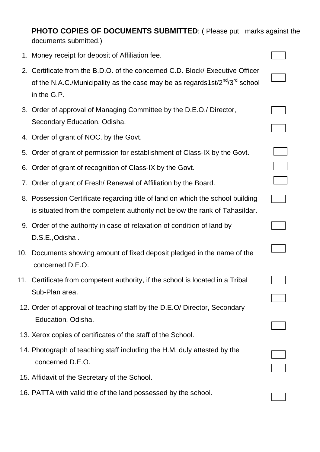**PHOTO COPIES OF DOCUMENTS SUBMITTED:** ( Please put marks against the documents submitted.)

- 1. Money receipt for deposit of Affiliation fee.
- 2. Certificate from the B.D.O. of the concerned C.D. Block/ Executive Officer of the N.A.C./Municipality as the case may be as regards1st/ $2^{nd}/3^{rd}$  school in the G.P.
- 3. Order of approval of Managing Committee by the D.E.O./ Director, Secondary Education, Odisha.
- 4. Order of grant of NOC. by the Govt.
- 5. Order of grant of permission for establishment of Class-IX by the Govt.
- 6. Order of grant of recognition of Class-IX by the Govt.
- 7. Order of grant of Fresh/ Renewal of Affiliation by the Board.
- 8. Possession Certificate regarding title of land on which the school building is situated from the competent authority not below the rank of Tahasildar.
- 9. Order of the authority in case of relaxation of condition of land by D.S.E.,Odisha .
- 10. Documents showing amount of fixed deposit pledged in the name of the concerned D.E.O.
- 11. Certificate from competent authority, if the school is located in a Tribal Sub-Plan area.
- 12. Order of approval of teaching staff by the D.E.O/ Director, Secondary Education, Odisha.
- 13. Xerox copies of certificates of the staff of the School.
- 14. Photograph of teaching staff including the H.M. duly attested by the concerned D.E.O.
- 15. Affidavit of the Secretary of the School.
- 16. PATTA with valid title of the land possessed by the school.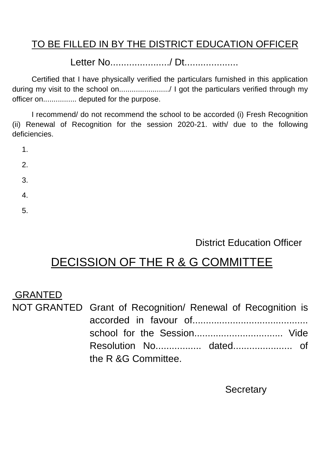### TO BE FILLED IN BY THE DISTRICT EDUCATION OFFICER

Letter No....................../ Dt....................

Certified that I have physically verified the particulars furnished in this application during my visit to the school on......................../ I got the particulars verified through my officer on................ deputed for the purpose.

I recommend/ do not recommend the school to be accorded (i) Fresh Recognition (ii) Renewal of Recognition for the session 2020-21. with/ due to the following deficiencies.

| ۰.<br>۰. |
|----------|
|----------|

2.

3.

- 4.
- 5.

### District Education Officer

# DECISSION OF THE R & G COMMITTEE

### GRANTED

NOT GRANTED Grant of Recognition/ Renewal of Recognition is accorded in favour of school for the Session................................. Vide Resolution No................. dated...................... of the R &G Committee.

**Secretary**